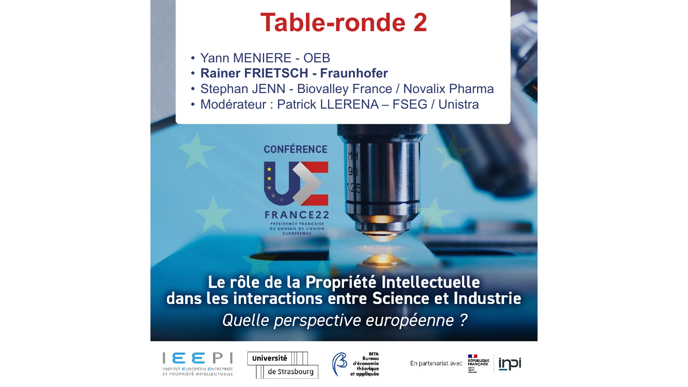## **Table-ronde 2**

- Yann MENIERE OEB
- **Rainer FRIETSCH - Fraunhofer**
- Stephan JENN Biovalley France / Novalix Pharma
- Modérateur : Patrick LLERENA FSEG / Unistra



# Le rôle de la Propriété Intellectuelle<br>dans les interactions entre Science et Industrie Quelle perspective européenne ?







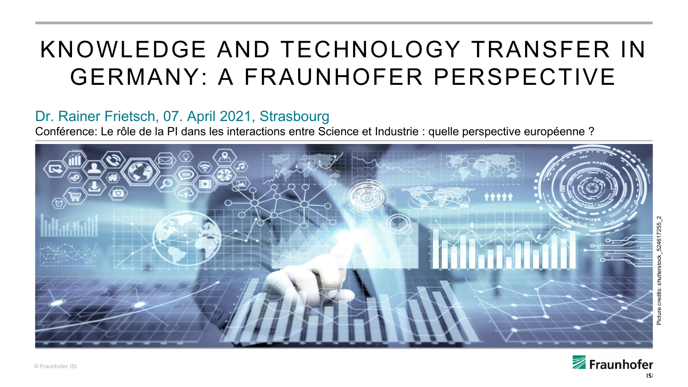### KNOWLEDGE AND TECHNOLOGY TRANSFER IN GERMANY: A FRAUNHOFER PERSPECTIVE

#### Dr. Rainer Frietsch, 07. April 2021, Strasbourg

Conférence: Le rôle de la PI dans les interactions entre Science et Industrie : quelle perspective européenne ?



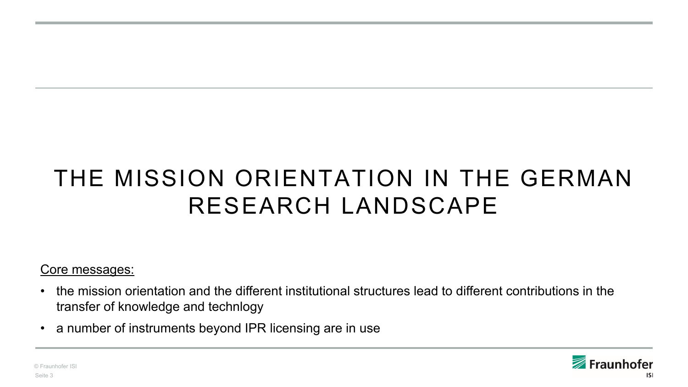## THE MISSION ORIENTATION IN THE GERMAN RESEARCH LANDSCAPE

Core messages:

- the mission orientation and the different institutional structures lead to different contributions in the transfer of knowledge and technlogy
- a number of instruments beyond IPR licensing are in use

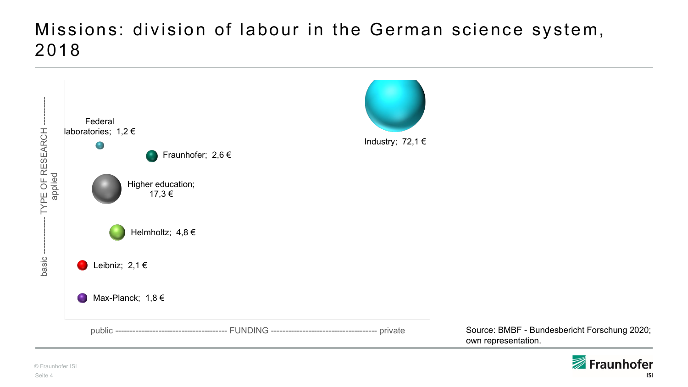#### Missions: division of labour in the German science system, 2018



own representation.

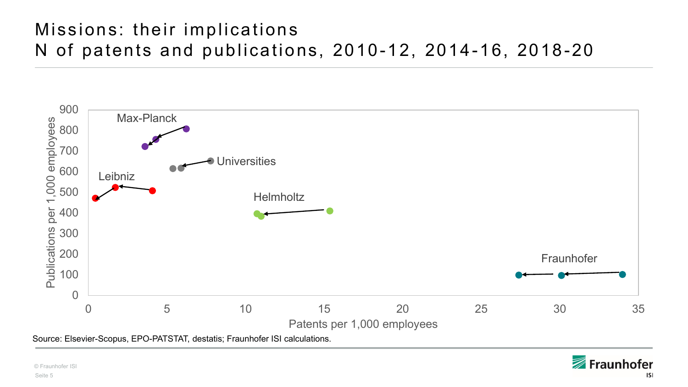#### Missions: their implications N of patents and publications, 2010-12, 2014-16, 2018-20

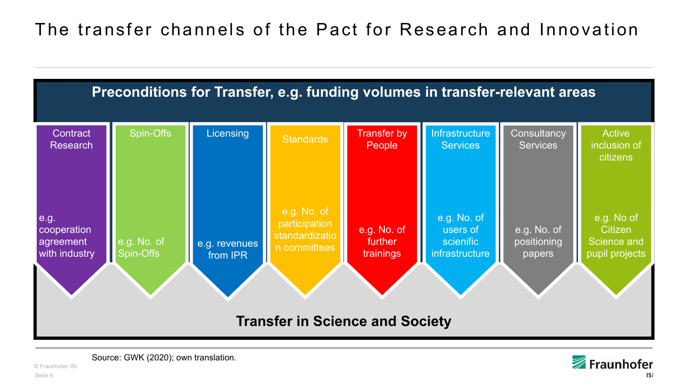

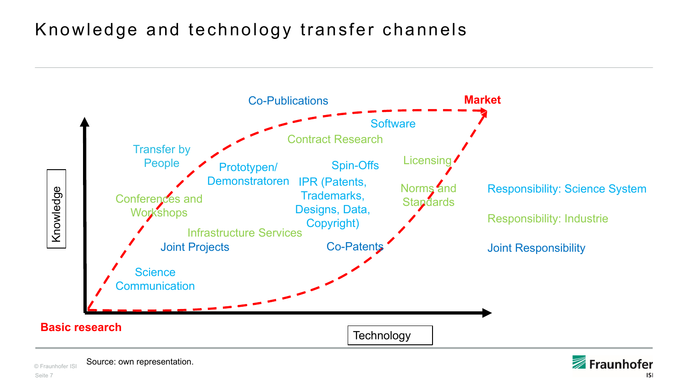#### Knowledge and technology transfer channels





© Fraunhofer ISI Source: own representation.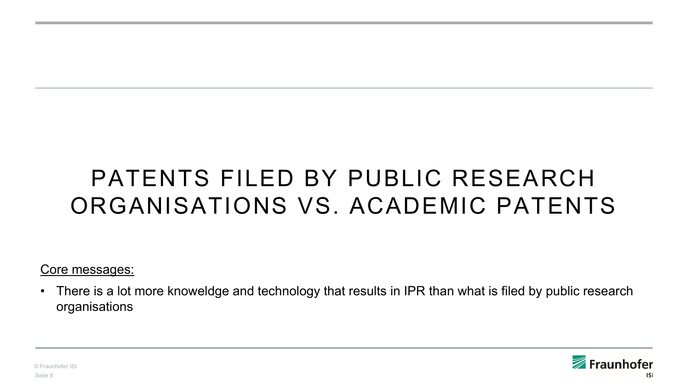## PATENTS FILED BY PUBLIC RESEARCH ORGANISATIONS VS. ACADEMIC PATENTS

Core messages:

• There is a lot more knoweldge and technology that results in IPR than what is filed by public research organisations

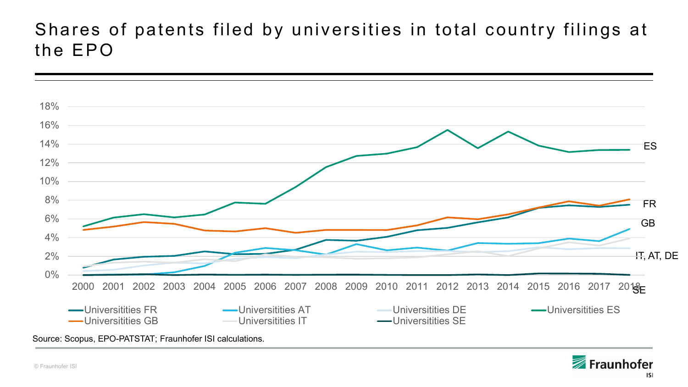#### Shares of patents filed by universities in total country filings at the EPO



Fraunhofer **ISI**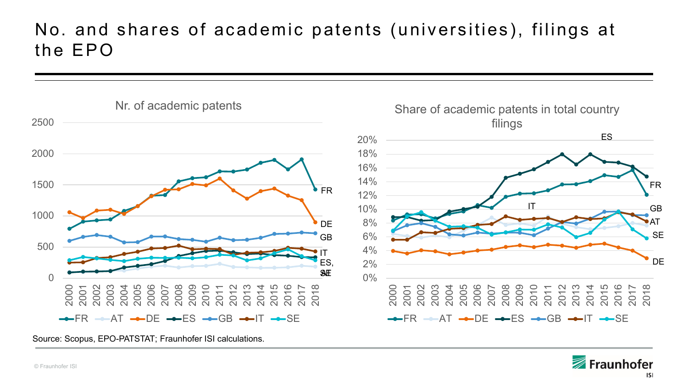#### No. and shares of academic patents (universities ), filings at the EPO



Source: Scopus, EPO-PATSTAT; Fraunhofer ISI calculations.

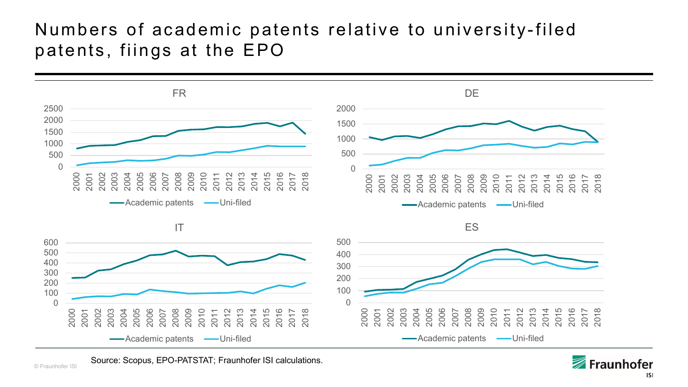#### Numbers of academic patents relative to university -filed patents, fiings at the EPO



Source: Scopus, EPO-PATSTAT; Fraunhofer ISI calculations.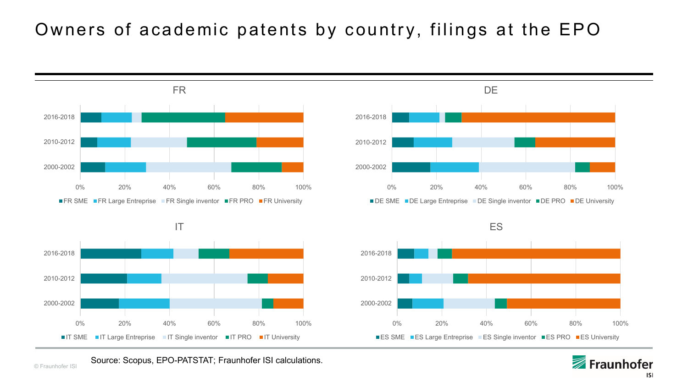### Owners of academic patents by country, filings at the EPO









Source: Scopus, EPO-PATSTAT; Fraunhofer ISI calculations.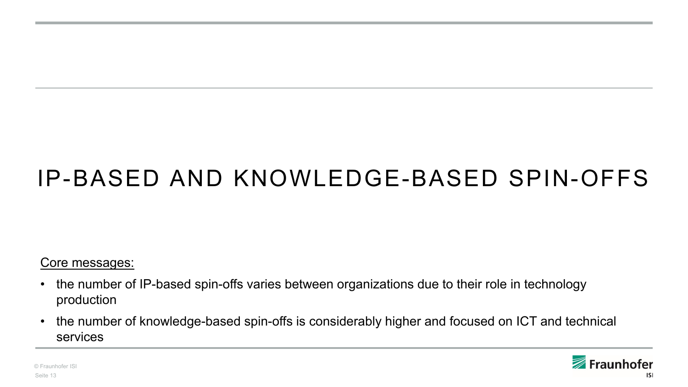## IP-BASED AND KNOWLEDGE-BASED SPIN-OFFS

#### Core messages:

- the number of IP-based spin-offs varies between organizations due to their role in technology production
- the number of knowledge-based spin-offs is considerably higher and focused on ICT and technical services



© Fraunhofer ISI Seite 13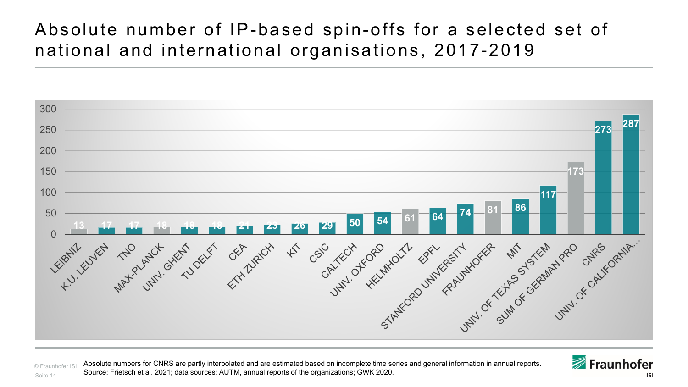#### Absolute number of IP-based spin-offs for a selected set of national and international organisations, 2017-2019



© Fraunhofer ISI Seite 14 Absolute numbers for CNRS are partly interpolated and are estimated based on incomplete time series and general information in annual reports. Source: Frietsch et al. 2021; data sources: AUTM, annual reports of the organizations; GWK 2020.



**ISI**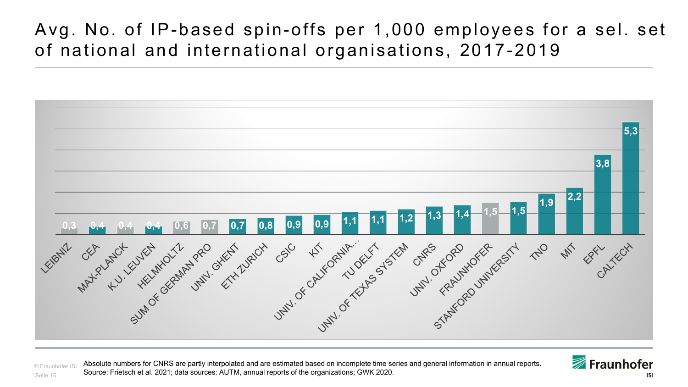#### Avg. No. of IP-based spin-offs per 1,000 employees for a sel. set of national and international organisations, 2017-2019



© Fraunhofer ISI Seite 15 Absolute numbers for CNRS are partly interpolated and are estimated based on incomplete time series and general information in annual reports. Source: Frietsch et al. 2021; data sources: AUTM, annual reports of the organizations; GWK 2020.

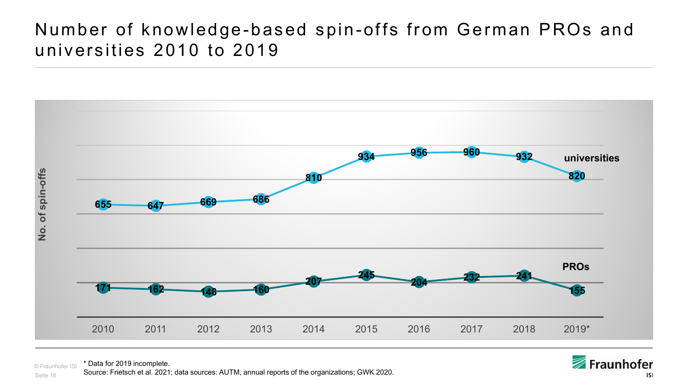#### Number of knowledge-based spin-offs from German PROs and universities 2010 to 2019



© Fraunhofer ISI \* Data for 2019 incomplete.

Seite 16 Source: Frietsch et al. 2021; data sources: AUTM, annual reports of the organizations; GWK 2020.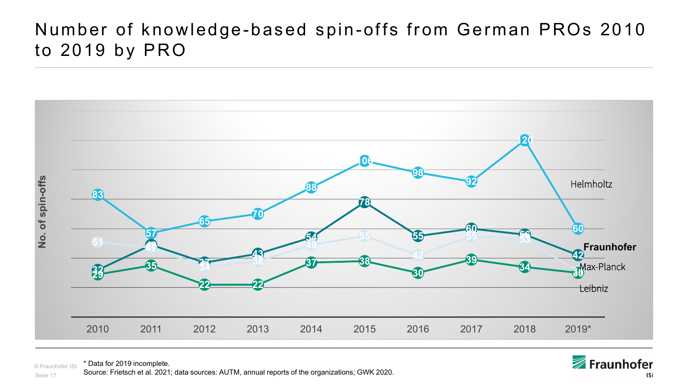#### Number of knowledge-based spin-offs from German PROs 2010 to 2019 by PRO



© Fraunhofer ISI \* Data for 2019 incomplete.

Seite 17 Source: Frietsch et al. 2021; data sources: AUTM, annual reports of the organizations; GWK 2020.

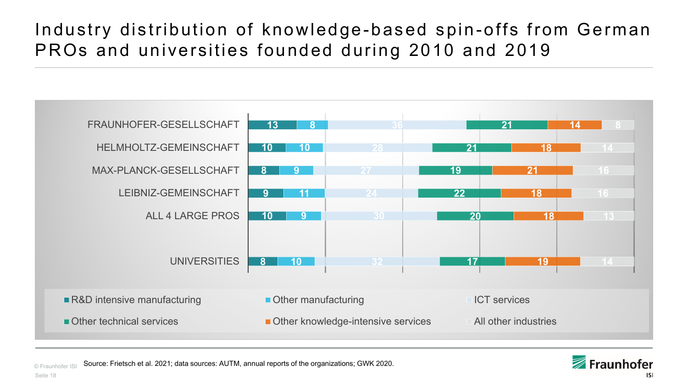### Industry distribution of knowledge-based spin-offs from German PROs and universities founded during 2010 and 2019



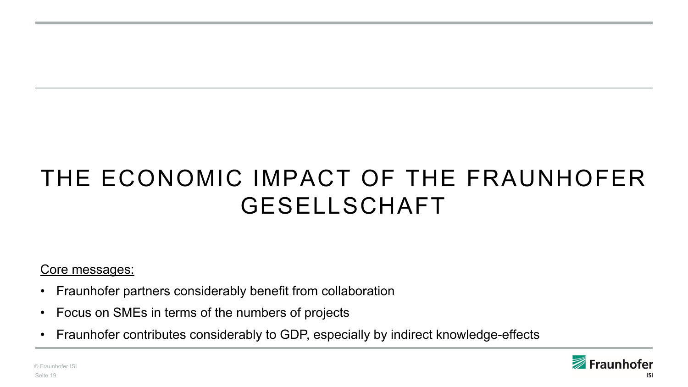## THE ECONOMIC IMPACT OF THE FRAUNHOFER GESELLSCHAFT

Core messages:

- Fraunhofer partners considerably benefit from collaboration
- Focus on SMEs in terms of the numbers of projects
- Fraunhofer contributes considerably to GDP, especially by indirect knowledge-effects

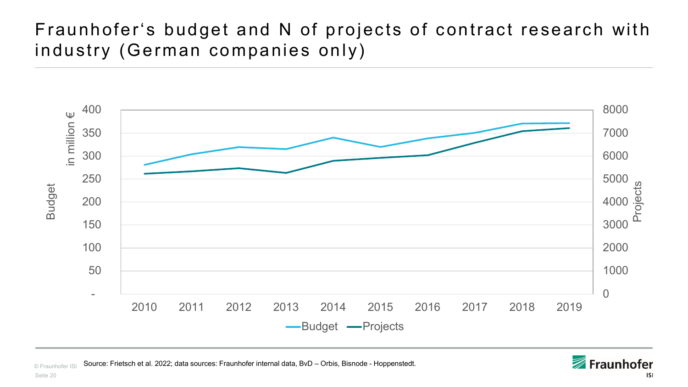### Fraunhofer's budget and N of projects of contract research with industry (German companies only)



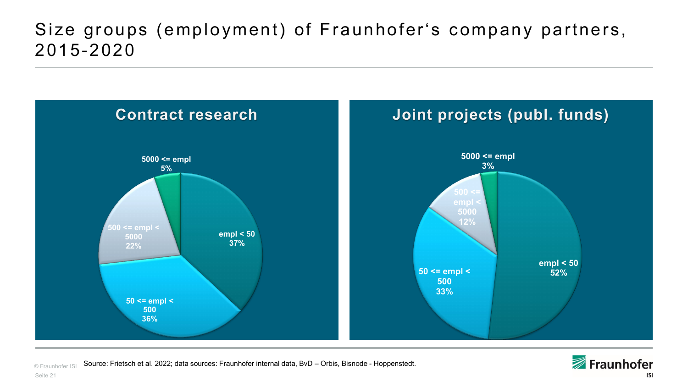#### Size groups (employment) of Fraunhofer's company partners , 2015-2020



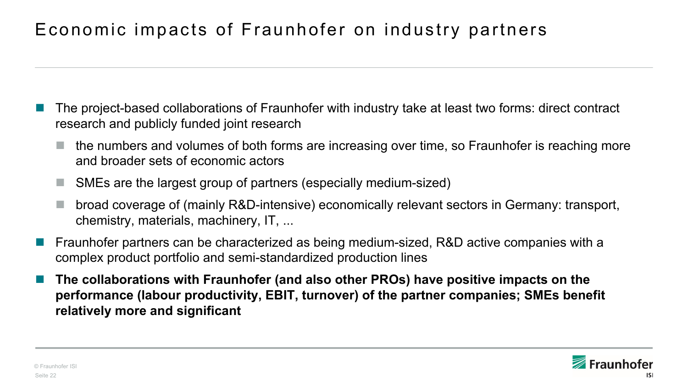### Economic impacts of Fraunhofer on industry partners

- The project-based collaborations of Fraunhofer with industry take at least two forms: direct contract research and publicly funded joint research
	- the numbers and volumes of both forms are increasing over time, so Fraunhofer is reaching more and broader sets of economic actors
	- SMEs are the largest group of partners (especially medium-sized)
	- broad coverage of (mainly R&D-intensive) economically relevant sectors in Germany: transport, chemistry, materials, machinery, IT, ...
- Fraunhofer partners can be characterized as being medium-sized, R&D active companies with a complex product portfolio and semi-standardized production lines
- **The collaborations with Fraunhofer (and also other PROs) have positive impacts on the performance (labour productivity, EBIT, turnover) of the partner companies; SMEs benefit relatively more and significant**

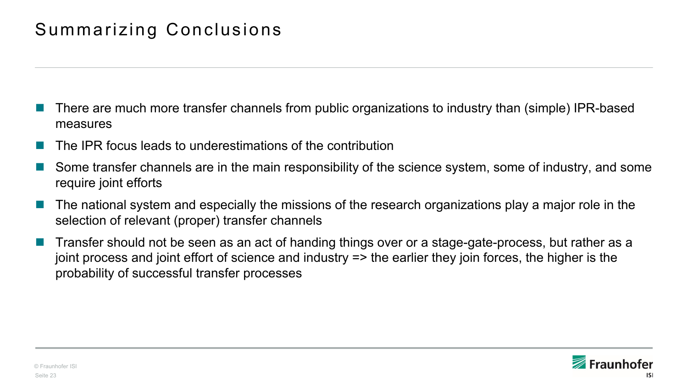#### Summarizing Conclusions

- There are much more transfer channels from public organizations to industry than (simple) IPR-based measures
- The IPR focus leads to underestimations of the contribution
- Some transfer channels are in the main responsibility of the science system, some of industry, and some require joint efforts
- The national system and especially the missions of the research organizations play a major role in the selection of relevant (proper) transfer channels
- Transfer should not be seen as an act of handing things over or a stage-gate-process, but rather as a joint process and joint effort of science and industry => the earlier they join forces, the higher is the probability of successful transfer processes